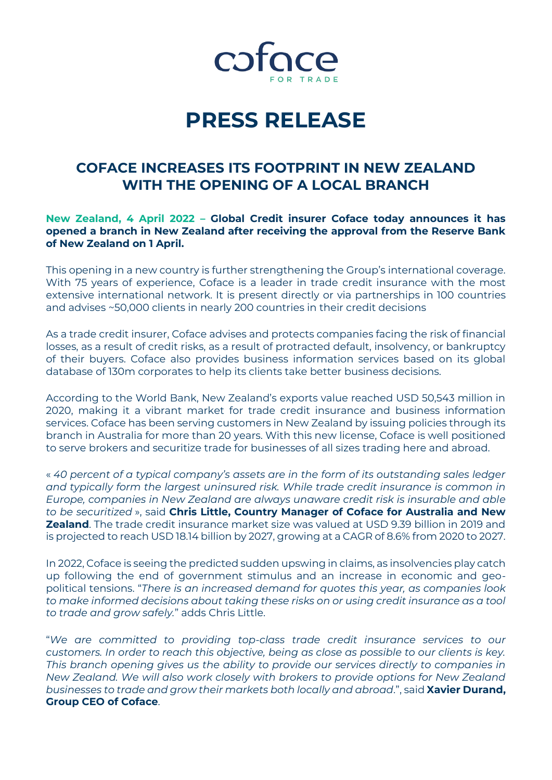

# **PRESS RELEASE**

### **COFACE INCREASES ITS FOOTPRINT IN NEW ZEALAND WITH THE OPENING OF A LOCAL BRANCH**

#### **New Zealand, 4 April 2022 – Global Credit insurer Coface today announces it has opened a branch in New Zealand after receiving the approval from the Reserve Bank of New Zealand on 1 April.**

This opening in a new country is further strengthening the Group's international coverage. With 75 years of experience, Coface is a leader in trade credit insurance with the most extensive international network. It is present directly or via partnerships in 100 countries and advises ~50,000 clients in nearly 200 countries in their credit decisions

As a trade credit insurer, Coface advises and protects companies facing the risk of financial losses, as a result of credit risks, as a result of protracted default, insolvency, or bankruptcy of their buyers. Coface also provides business information services based on its global database of 130m corporates to help its clients take better business decisions.

According to the World Bank, New Zealand's exports value reached USD 50,543 million in 2020, making it a vibrant market for trade credit insurance and business information services. Coface has been serving customers in New Zealand by issuing policies through its branch in Australia for more than 20 years. With this new license, Coface is well positioned to serve brokers and securitize trade for businesses of all sizes trading here and abroad.

« *40 percent of a typical company's assets are in the form of its outstanding sales ledger and typically form the largest uninsured risk. While trade credit insurance is common in Europe, companies in New Zealand are always unaware credit risk is insurable and able to be securitized* », said **Chris Little, Country Manager of Coface for Australia and New Zealand**. The trade credit insurance market size was valued at USD 9.39 billion in 2019 and is projected to reach USD 18.14 billion by 2027, growing at a CAGR of 8.6% from 2020 to 2027.

In 2022, Coface is seeing the predicted sudden upswing in claims, as insolvencies play catch up following the end of government stimulus and an increase in economic and geopolitical tensions. "*There is an increased demand for quotes this year, as companies look to make informed decisions about taking these risks on or using credit insurance as a tool to trade and grow safely.*" adds Chris Little.

"*We are committed to providing top-class trade credit insurance services to our customers. In order to reach this objective, being as close as possible to our clients is key. This branch opening gives us the ability to provide our services directly to companies in New Zealand. We will also work closely with brokers to provide options for New Zealand businesses to trade and grow their markets both locally and abroad*.", said **Xavier Durand, Group CEO of Coface**.